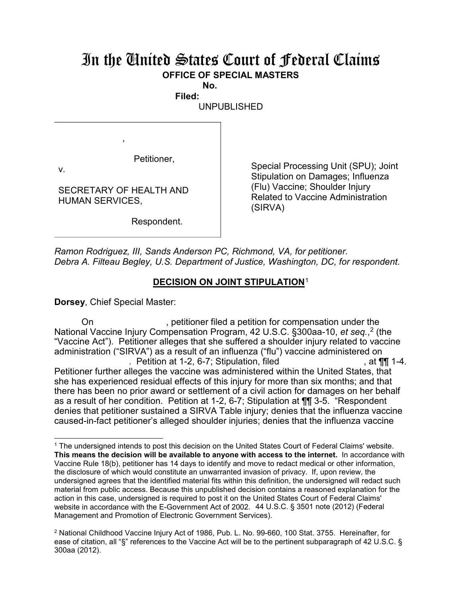## In the United States Court of Federal Claims **OFFICE OF SPECIAL MASTERS**

**No. Filed:** 

UNPUBLISHED

Petitioner,

v.

 $\overline{a}$ 

SECRETARY OF HEALTH AND HUMAN SERVICES,

,

Respondent.

Special Processing Unit (SPU); Joint Stipulation on Damages; Influenza (Flu) Vaccine; Shoulder Injury Related to Vaccine Administration (SIRVA)

*Ramon Rodriguez, III, Sands Anderson PC, Richmond, VA, for petitioner. Debra A. Filteau Begley, U.S. Department of Justice, Washington, DC, for respondent.*

## **DECISION ON JOINT STIPULATION**<sup>1</sup>

**Dorsey**, Chief Special Master:

On external petitioner filed a petition for compensation under the National Vaccine Injury Compensation Program, 42 U.S.C. §300aa-10, *et seq.*, 2 (the "Vaccine Act"). Petitioner alleges that she suffered a shoulder injury related to vaccine administration ("SIRVA") as a result of an influenza ("flu") vaccine administered on . Petition at 1-2, 6-7; Stipulation, filed  $\blacksquare$ , at  $\P\P$  1-4. Petitioner further alleges the vaccine was administered within the United States, that she has experienced residual effects of this injury for more than six months; and that there has been no prior award or settlement of a civil action for damages on her behalf as a result of her condition. Petition at 1-2, 6-7; Stipulation at ¶¶ 3-5. "Respondent denies that petitioner sustained a SIRVA Table injury; denies that the influenza vaccine caused-in-fact petitioner's alleged shoulder injuries; denies that the influenza vaccine

<sup>1</sup> The undersigned intends to post this decision on the United States Court of Federal Claims' website. **This means the decision will be available to anyone with access to the internet.** In accordance with Vaccine Rule 18(b), petitioner has 14 days to identify and move to redact medical or other information, the disclosure of which would constitute an unwarranted invasion of privacy. If, upon review, the undersigned agrees that the identified material fits within this definition, the undersigned will redact such material from public access. Because this unpublished decision contains a reasoned explanation for the action in this case, undersigned is required to post it on the United States Court of Federal Claims' website in accordance with the E-Government Act of 2002. 44 U.S.C. § 3501 note (2012) (Federal Management and Promotion of Electronic Government Services).

<sup>2</sup> National Childhood Vaccine Injury Act of 1986, Pub. L. No. 99-660, 100 Stat. 3755. Hereinafter, for ease of citation, all "§" references to the Vaccine Act will be to the pertinent subparagraph of 42 U.S.C. § 300aa (2012).